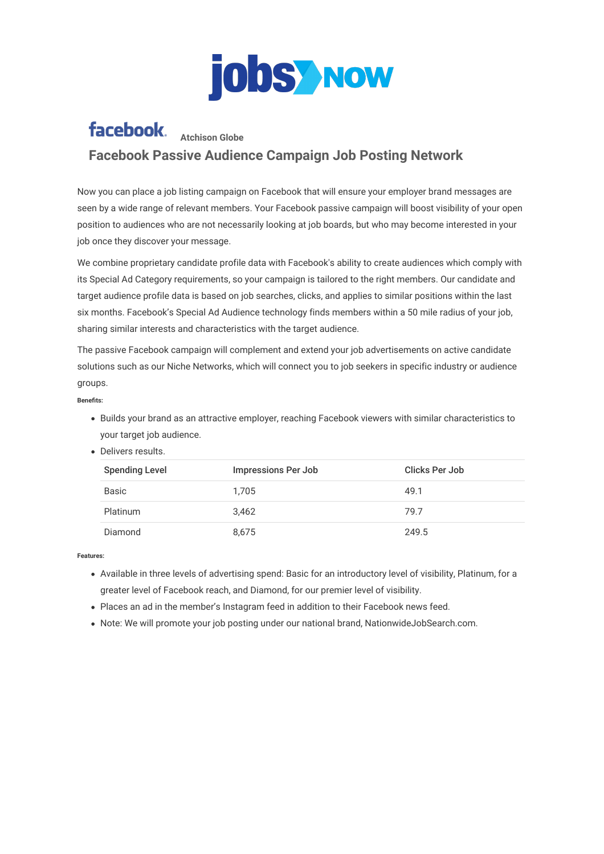

## facebook. Atchison Globe **Facebook Passive Audience Campaign Job Posting Network**

Now you can place a job listing campaign on Facebook that will ensure your employer brand messages are seen by a wide range of relevant members. Your Facebook passive campaign will boost visibility of your open position to audiences who are not necessarily looking at job boards, but who may become interested in your job once they discover your message.

We combine proprietary candidate profile data with Facebook's ability to create audiences which comply with its Special Ad Category requirements, so your campaign is tailored to the right members. Our candidate and target audience profile data is based on job searches, clicks, and applies to similar positions within the last six months. Facebook's Special Ad Audience technology finds members within a 50 mile radius of your job, sharing similar interests and characteristics with the target audience.

The passive Facebook campaign will complement and extend your job advertisements on active candidate solutions such as our Niche Networks, which will connect you to job seekers in specific industry or audience groups.

## **Benets:**

- Builds your brand as an attractive employer, reaching Facebook viewers with similar characteristics to your target job audience.
- Delivers results.

| <b>Spending Level</b> | <b>Impressions Per Job</b> | Clicks Per Job |
|-----------------------|----------------------------|----------------|
| <b>Basic</b>          | 1.705                      | 49.1           |
| <b>Platinum</b>       | 3.462                      | 79.7           |
| Diamond               | 8.675                      | 249.5          |

## **Features:**

- Available in three levels of advertising spend: Basic for an introductory level of visibility, Platinum, for a greater level of Facebook reach, and Diamond, for our premier level of visibility.
- Places an ad in the member's Instagram feed in addition to their Facebook news feed.
- Note: We will promote your job posting under our national brand, NationwideJobSearch.com.